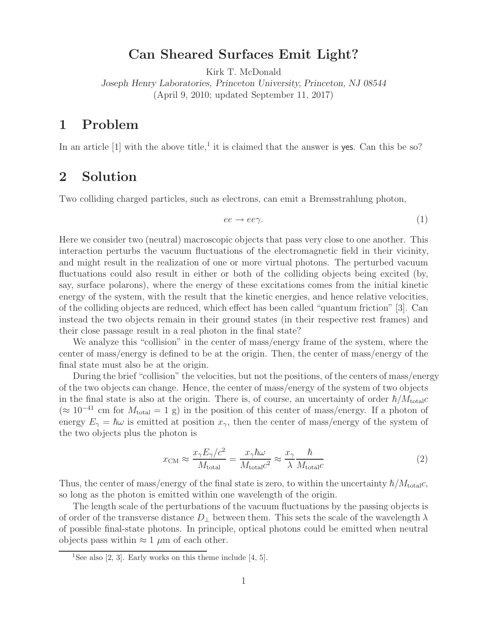## **Can Sheared Surfaces Emit Light?**

Kirk T. McDonald

*Joseph Henry Laboratories, Princeton University, Princeton, NJ 08544* (April 9, 2010; updated September 11, 2017)

## **1 Problem**

In an article  $[1]$  with the above title,<sup>1</sup> it is claimed that the answer is yes. Can this be so?

## **2 Solution**

Two colliding charged particles, such as electrons, can emit a Bremsstrahlung photon,

$$
ee \to ee\gamma. \tag{1}
$$

Here we consider two (neutral) macroscopic objects that pass very close to one another. This interaction perturbs the vacuum fluctuations of the electromagnetic field in their vicinity, and might result in the realization of one or more virtual photons. The perturbed vacuum fluctuations could also result in either or both of the colliding objects being excited (by, say, surface polarons), where the energy of these excitations comes from the initial kinetic energy of the system, with the result that the kinetic energies, and hence relative velocities, of the colliding objects are reduced, which effect has been called "quantum friction" [3]. Can instead the two objects remain in their ground states (in their respective rest frames) and their close passage result in a real photon in the final state?

We analyze this "collision" in the center of mass/energy frame of the system, where the center of mass/energy is defined to be at the origin. Then, the center of mass/energy of the final state must also be at the origin.

During the brief "collision" the velocities, but not the positions, of the centers of mass/energy of the two objects can change. Hence, the center of mass/energy of the system of two objects in the final state is also at the origin. There is, of course, an uncertainty of order  $\hbar/M_{\text{total}}c$  $(\approx 10^{-41}$  cm for  $M_{\text{total}} = 1$  g) in the position of this center of mass/energy. If a photon of energy  $E_{\gamma} = \hbar \omega$  is emitted at position  $x_{\gamma}$ , then the center of mass/energy of the system of the two objects plus the photon is

$$
x_{\rm CM} \approx \frac{x_{\gamma} E_{\gamma}/c^2}{M_{\rm total}} = \frac{x_{\gamma} \hbar \omega}{M_{\rm total} c^2} \approx \frac{x_{\gamma}}{\lambda} \frac{\hbar}{M_{\rm total} c}
$$
(2)

Thus, the center of mass/energy of the final state is zero, to within the uncertainty  $\hbar/M_{\text{total}}c$ , so long as the photon is emitted within one wavelength of the origin.

The length scale of the perturbations of the vacuum fluctuations by the passing objects is of order of the transverse distance  $D_{\perp}$  between them. This sets the scale of the wavelength  $\lambda$ of possible final-state photons. In principle, optical photons could be emitted when neutral objects pass within  $\approx 1 \mu m$  of each other.

<sup>&</sup>lt;sup>1</sup>See also [2, 3]. Early works on this theme include [4, 5].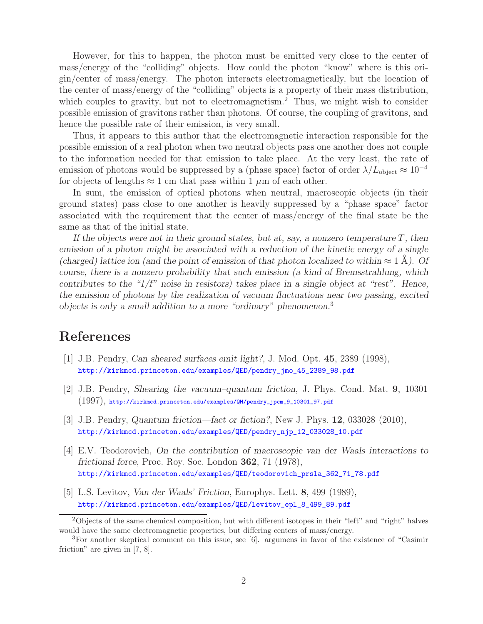However, for this to happen, the photon must be emitted very close to the center of mass/energy of the "colliding" objects. How could the photon "know" where is this origin/center of mass/energy. The photon interacts electromagnetically, but the location of the center of mass/energy of the "colliding" objects is a property of their mass distribution, which couples to gravity, but not to electromagnetism.<sup>2</sup> Thus, we might wish to consider possible emission of gravitons rather than photons. Of course, the coupling of gravitons, and hence the possible rate of their emission, is very small.

Thus, it appears to this author that the electromagnetic interaction responsible for the possible emission of a real photon when two neutral objects pass one another does not couple to the information needed for that emission to take place. At the very least, the rate of emission of photons would be suppressed by a (phase space) factor of order  $\lambda/L_{\text{object}} \approx 10^{-4}$ for objects of lengths  $\approx 1$  cm that pass within 1  $\mu$ m of each other.

In sum, the emission of optical photons when neutral, macroscopic objects (in their ground states) pass close to one another is heavily suppressed by a "phase space" factor associated with the requirement that the center of mass/energy of the final state be the same as that of the initial state.

*If the objects were not in their ground states, but at, say, a nonzero temperature*  $T$ *, then emission of a photon might be associated with a reduction of the kinetic energy of a single (charged) lattice ion (and the point of emission of that photon localized to within*  $\approx 1 \text{ Å}$ ). Of *course, there is a nonzero probability that such emission (a kind of Bremsstrahlung, which contributes to the "1/f" noise in resistors) takes place in a single object at "rest". Hence, the emission of photons by the realization of vacuum fluctuations near two passing, excited objects is only a small addition to a more "ordinary" phenomenon.*<sup>3</sup>

## **References**

- [1] J.B. Pendry, *Can sheared surfaces emit light?*, J. Mod. Opt. **45**, 2389 (1998), http://kirkmcd.princeton.edu/examples/QED/pendry\_jmo\_45\_2389\_98.pdf
- [2] J.B. Pendry, *Shearing the vacuum–quantum friction*, J. Phys. Cond. Mat. **9**, 10301 (1997), http://kirkmcd.princeton.edu/examples/QM/pendry\_jpcm\_9\_10301\_97.pdf
- [3] J.B. Pendry, *Quantum friction—fact or fiction?*, New J. Phys. **12**, 033028 (2010), http://kirkmcd.princeton.edu/examples/QED/pendry\_njp\_12\_033028\_10.pdf
- [4] E.V. Teodorovich, *On the contribution of macroscopic van der Waals interactions to frictional force*, Proc. Roy. Soc. London **362**, 71 (1978), http://kirkmcd.princeton.edu/examples/QED/teodorovich\_prsla\_362\_71\_78.pdf
- [5] L.S. Levitov, *Van der Waals' Friction*, Europhys. Lett. **8**, 499 (1989), http://kirkmcd.princeton.edu/examples/QED/levitov\_epl\_8\_499\_89.pdf

<sup>2</sup>Objects of the same chemical composition, but with different isotopes in their "left" and "right" halves would have the same electromagnetic properties, but differing centers of mass/energy.

<sup>3</sup>For another skeptical comment on this issue, see [6]. argumens in favor of the existence of "Casimir friction" are given in [7, 8].